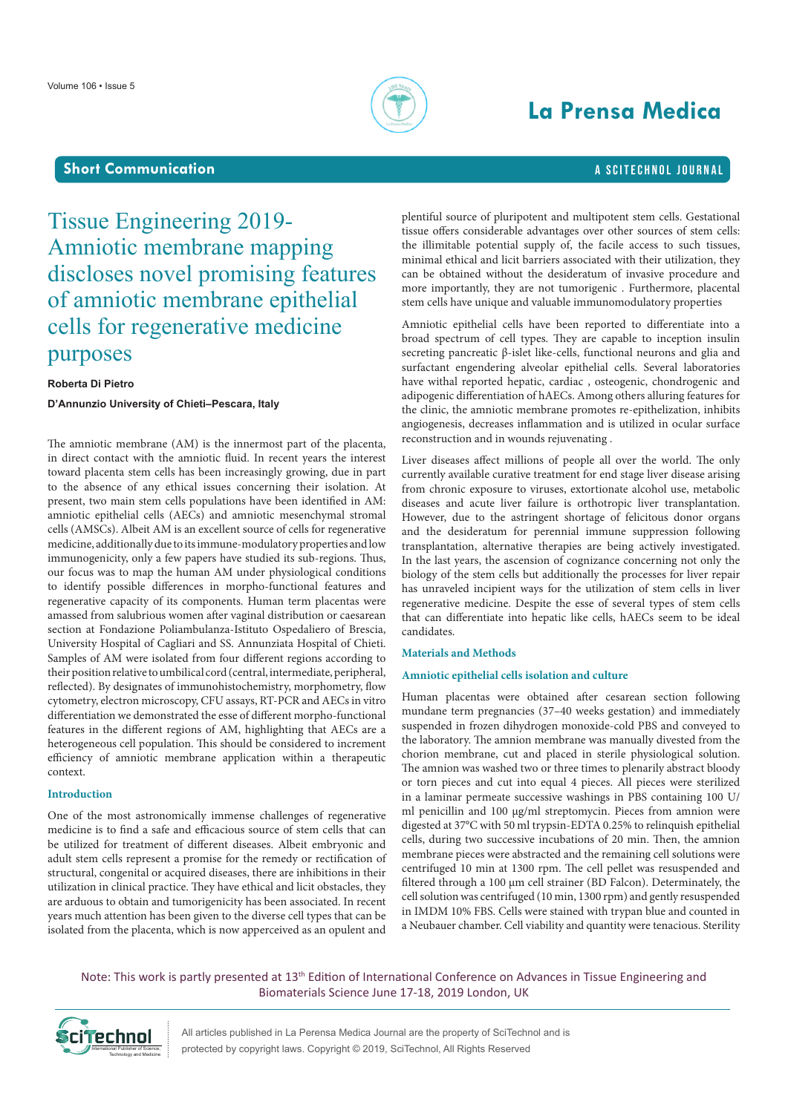

# **La Prensa Medica**

### **Short Communication a** SciteChnol journal

## Tissue Engineering 2019- Amniotic membrane mapping discloses novel promising features of amniotic membrane epithelial cells for regenerative medicine purposes

#### **Roberta Di Pietro**

**D'Annunzio University of Chieti–Pescara, Italy**

The amniotic membrane (AM) is the innermost part of the placenta, in direct contact with the amniotic fluid. In recent years the interest toward placenta stem cells has been increasingly growing, due in part to the absence of any ethical issues concerning their isolation. At present, two main stem cells populations have been identified in AM: amniotic epithelial cells (AECs) and amniotic mesenchymal stromal cells (AMSCs). Albeit AM is an excellent source of cells for regenerative medicine, additionally due to its immune-modulatory properties and low immunogenicity, only a few papers have studied its sub-regions. Thus, our focus was to map the human AM under physiological conditions to identify possible differences in morpho-functional features and regenerative capacity of its components. Human term placentas were amassed from salubrious women after vaginal distribution or caesarean section at Fondazione Poliambulanza-Istituto Ospedaliero of Brescia, University Hospital of Cagliari and SS. Annunziata Hospital of Chieti. Samples of AM were isolated from four different regions according to their position relative to umbilical cord (central, intermediate, peripheral, reflected). By designates of immunohistochemistry, morphometry, flow cytometry, electron microscopy, CFU assays, RT-PCR and AECs in vitro differentiation we demonstrated the esse of different morpho-functional features in the different regions of AM, highlighting that AECs are a heterogeneous cell population. This should be considered to increment efficiency of amniotic membrane application within a therapeutic context.

### **Introduction**

One of the most astronomically immense challenges of regenerative medicine is to find a safe and efficacious source of stem cells that can be utilized for treatment of different diseases. Albeit embryonic and adult stem cells represent a promise for the remedy or rectification of structural, congenital or acquired diseases, there are inhibitions in their utilization in clinical practice. They have ethical and licit obstacles, they are arduous to obtain and tumorigenicity has been associated. In recent years much attention has been given to the diverse cell types that can be isolated from the placenta, which is now apperceived as an opulent and

plentiful source of pluripotent and multipotent stem cells. Gestational tissue offers considerable advantages over other sources of stem cells: the illimitable potential supply of, the facile access to such tissues, minimal ethical and licit barriers associated with their utilization, they can be obtained without the desideratum of invasive procedure and more importantly, they are not tumorigenic . Furthermore, placental stem cells have unique and valuable immunomodulatory properties

Amniotic epithelial cells have been reported to differentiate into a broad spectrum of cell types. They are capable to inception insulin secreting pancreatic β-islet like-cells, functional neurons and glia and surfactant engendering alveolar epithelial cells. Several laboratories have withal reported hepatic, cardiac , osteogenic, chondrogenic and adipogenic differentiation of hAECs. Among others alluring features for the clinic, the amniotic membrane promotes re-epithelization, inhibits angiogenesis, decreases inflammation and is utilized in ocular surface reconstruction and in wounds rejuvenating .

Liver diseases affect millions of people all over the world. The only currently available curative treatment for end stage liver disease arising from chronic exposure to viruses, extortionate alcohol use, metabolic diseases and acute liver failure is orthotropic liver transplantation. However, due to the astringent shortage of felicitous donor organs and the desideratum for perennial immune suppression following transplantation, alternative therapies are being actively investigated. In the last years, the ascension of cognizance concerning not only the biology of the stem cells but additionally the processes for liver repair has unraveled incipient ways for the utilization of stem cells in liver regenerative medicine. Despite the esse of several types of stem cells that can differentiate into hepatic like cells, hAECs seem to be ideal candidates.

#### **Materials and Methods**

### **Amniotic epithelial cells isolation and culture**

Human placentas were obtained after cesarean section following mundane term pregnancies (37–40 weeks gestation) and immediately suspended in frozen dihydrogen monoxide-cold PBS and conveyed to the laboratory. The amnion membrane was manually divested from the chorion membrane, cut and placed in sterile physiological solution. The amnion was washed two or three times to plenarily abstract bloody or torn pieces and cut into equal 4 pieces. All pieces were sterilized in a laminar permeate successive washings in PBS containing 100 U/ ml penicillin and 100 μg/ml streptomycin. Pieces from amnion were digested at 37°C with 50 ml trypsin-EDTA 0.25% to relinquish epithelial cells, during two successive incubations of 20 min. Then, the amnion membrane pieces were abstracted and the remaining cell solutions were centrifuged 10 min at 1300 rpm. The cell pellet was resuspended and filtered through a 100 μm cell strainer (BD Falcon). Determinately, the cell solution was centrifuged (10 min, 1300 rpm) and gently resuspended in IMDM 10% FBS. Cells were stained with trypan blue and counted in a Neubauer chamber. Cell viability and quantity were tenacious. Sterility

Note: This work is partly presented at 13<sup>th</sup> Edition of International Conference on Advances in Tissue Engineering and Biomaterials Science June 17-18, 2019 London, UK



All articles published in La Perensa Medica Journal are the property of SciTechnol and is protected by copyright laws. Copyright © 2019, SciTechnol, All Rights Reserved